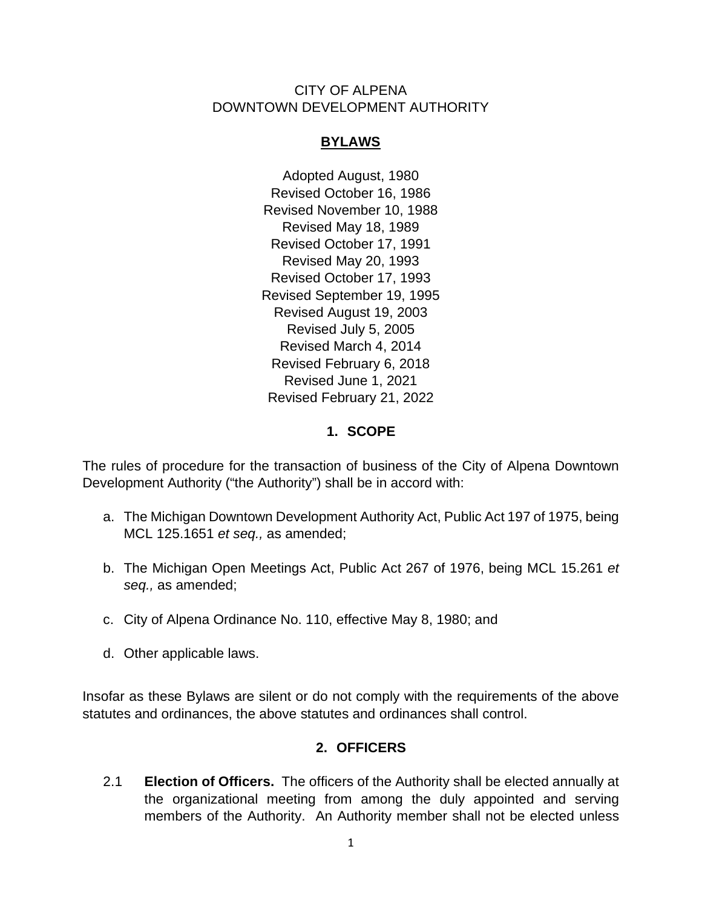#### CITY OF ALPENA DOWNTOWN DEVELOPMENT AUTHORITY

## **BYLAWS**

Adopted August, 1980 Revised October 16, 1986 Revised November 10, 1988 Revised May 18, 1989 Revised October 17, 1991 Revised May 20, 1993 Revised October 17, 1993 Revised September 19, 1995 Revised August 19, 2003 Revised July 5, 2005 Revised March 4, 2014 Revised February 6, 2018 Revised June 1, 2021 Revised February 21, 2022

# **1. SCOPE**

The rules of procedure for the transaction of business of the City of Alpena Downtown Development Authority ("the Authority") shall be in accord with:

- a. The Michigan Downtown Development Authority Act, Public Act 197 of 1975, being MCL 125.1651 *et seq.,* as amended;
- b. The Michigan Open Meetings Act, Public Act 267 of 1976, being MCL 15.261 *et seq.,* as amended;
- c. City of Alpena Ordinance No. 110, effective May 8, 1980; and
- d. Other applicable laws.

Insofar as these Bylaws are silent or do not comply with the requirements of the above statutes and ordinances, the above statutes and ordinances shall control.

# **2. OFFICERS**

2.1 **Election of Officers.** The officers of the Authority shall be elected annually at the organizational meeting from among the duly appointed and serving members of the Authority. An Authority member shall not be elected unless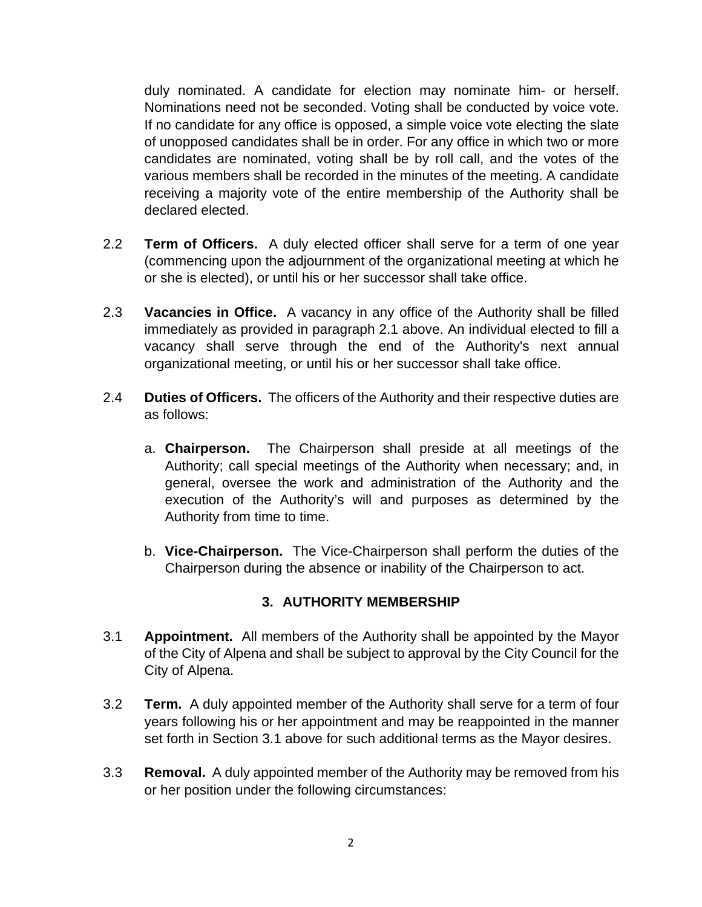duly nominated. A candidate for election may nominate him- or herself. Nominations need not be seconded. Voting shall be conducted by voice vote. If no candidate for any office is opposed, a simple voice vote electing the slate of unopposed candidates shall be in order. For any office in which two or more candidates are nominated, voting shall be by roll call, and the votes of the various members shall be recorded in the minutes of the meeting. A candidate receiving a majority vote of the entire membership of the Authority shall be declared elected.

- 2.2 **Term of Officers.** A duly elected officer shall serve for a term of one year (commencing upon the adjournment of the organizational meeting at which he or she is elected), or until his or her successor shall take office.
- 2.3 **Vacancies in Office.** A vacancy in any office of the Authority shall be filled immediately as provided in paragraph 2.1 above. An individual elected to fill a vacancy shall serve through the end of the Authority's next annual organizational meeting, or until his or her successor shall take office.
- 2.4 **Duties of Officers.** The officers of the Authority and their respective duties are as follows:
	- a. **Chairperson.** The Chairperson shall preside at all meetings of the Authority; call special meetings of the Authority when necessary; and, in general, oversee the work and administration of the Authority and the execution of the Authority's will and purposes as determined by the Authority from time to time.
	- b. **Vice-Chairperson.** The Vice-Chairperson shall perform the duties of the Chairperson during the absence or inability of the Chairperson to act.

# **3. AUTHORITY MEMBERSHIP**

- 3.1 **Appointment.** All members of the Authority shall be appointed by the Mayor of the City of Alpena and shall be subject to approval by the City Council for the City of Alpena.
- 3.2 **Term.** A duly appointed member of the Authority shall serve for a term of four years following his or her appointment and may be reappointed in the manner set forth in Section 3.1 above for such additional terms as the Mayor desires.
- 3.3 **Removal.** A duly appointed member of the Authority may be removed from his or her position under the following circumstances: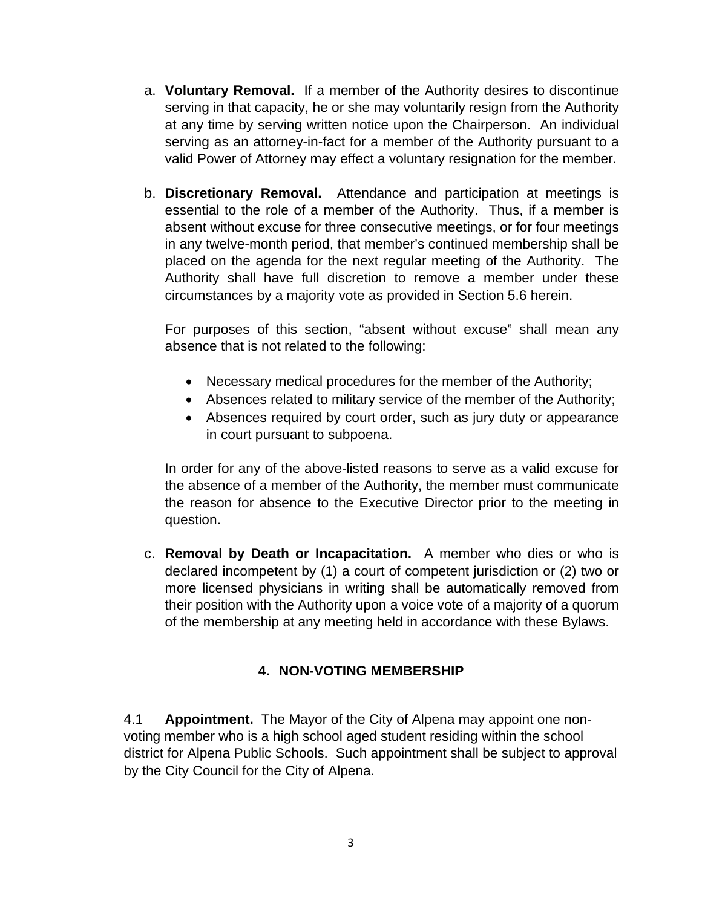- a. **Voluntary Removal.** If a member of the Authority desires to discontinue serving in that capacity, he or she may voluntarily resign from the Authority at any time by serving written notice upon the Chairperson. An individual serving as an attorney-in-fact for a member of the Authority pursuant to a valid Power of Attorney may effect a voluntary resignation for the member.
- b. **Discretionary Removal.** Attendance and participation at meetings is essential to the role of a member of the Authority. Thus, if a member is absent without excuse for three consecutive meetings, or for four meetings in any twelve-month period, that member's continued membership shall be placed on the agenda for the next regular meeting of the Authority. The Authority shall have full discretion to remove a member under these circumstances by a majority vote as provided in Section 5.6 herein.

For purposes of this section, "absent without excuse" shall mean any absence that is not related to the following:

- Necessary medical procedures for the member of the Authority;
- Absences related to military service of the member of the Authority;
- Absences required by court order, such as jury duty or appearance in court pursuant to subpoena.

In order for any of the above-listed reasons to serve as a valid excuse for the absence of a member of the Authority, the member must communicate the reason for absence to the Executive Director prior to the meeting in question.

c. **Removal by Death or Incapacitation.** A member who dies or who is declared incompetent by (1) a court of competent jurisdiction or (2) two or more licensed physicians in writing shall be automatically removed from their position with the Authority upon a voice vote of a majority of a quorum of the membership at any meeting held in accordance with these Bylaws.

### **4. NON-VOTING MEMBERSHIP**

4.1 **Appointment.** The Mayor of the City of Alpena may appoint one nonvoting member who is a high school aged student residing within the school district for Alpena Public Schools. Such appointment shall be subject to approval by the City Council for the City of Alpena.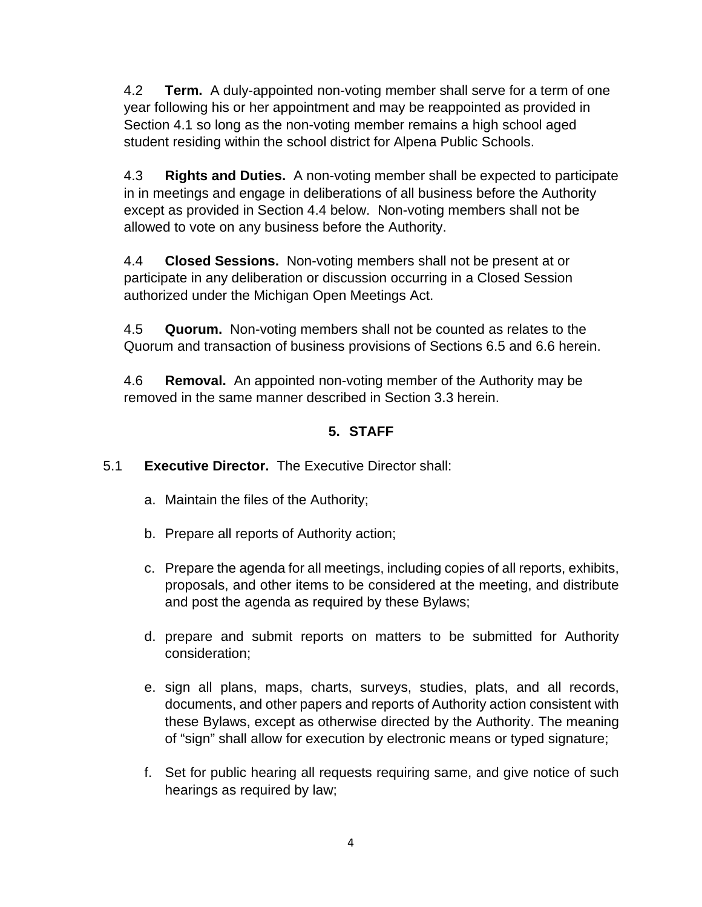4.2 **Term.** A duly-appointed non-voting member shall serve for a term of one year following his or her appointment and may be reappointed as provided in Section 4.1 so long as the non-voting member remains a high school aged student residing within the school district for Alpena Public Schools.

4.3 **Rights and Duties.** A non-voting member shall be expected to participate in in meetings and engage in deliberations of all business before the Authority except as provided in Section 4.4 below. Non-voting members shall not be allowed to vote on any business before the Authority.

4.4 **Closed Sessions.** Non-voting members shall not be present at or participate in any deliberation or discussion occurring in a Closed Session authorized under the Michigan Open Meetings Act.

4.5 **Quorum.** Non-voting members shall not be counted as relates to the Quorum and transaction of business provisions of Sections 6.5 and 6.6 herein.

4.6 **Removal.** An appointed non-voting member of the Authority may be removed in the same manner described in Section 3.3 herein.

# **5. STAFF**

# 5.1 **Executive Director.** The Executive Director shall:

- a. Maintain the files of the Authority;
- b. Prepare all reports of Authority action;
- c. Prepare the agenda for all meetings, including copies of all reports, exhibits, proposals, and other items to be considered at the meeting, and distribute and post the agenda as required by these Bylaws;
- d. prepare and submit reports on matters to be submitted for Authority consideration;
- e. sign all plans, maps, charts, surveys, studies, plats, and all records, documents, and other papers and reports of Authority action consistent with these Bylaws, except as otherwise directed by the Authority. The meaning of "sign" shall allow for execution by electronic means or typed signature;
- f. Set for public hearing all requests requiring same, and give notice of such hearings as required by law;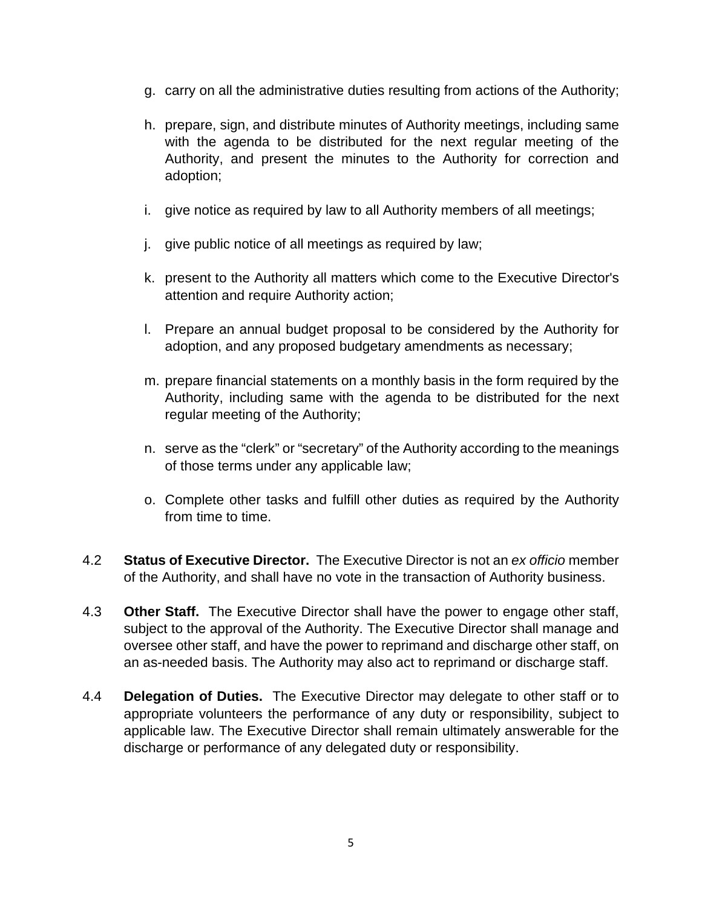- g. carry on all the administrative duties resulting from actions of the Authority;
- h. prepare, sign, and distribute minutes of Authority meetings, including same with the agenda to be distributed for the next regular meeting of the Authority, and present the minutes to the Authority for correction and adoption;
- i. give notice as required by law to all Authority members of all meetings;
- j. give public notice of all meetings as required by law;
- k. present to the Authority all matters which come to the Executive Director's attention and require Authority action;
- l. Prepare an annual budget proposal to be considered by the Authority for adoption, and any proposed budgetary amendments as necessary;
- m. prepare financial statements on a monthly basis in the form required by the Authority, including same with the agenda to be distributed for the next regular meeting of the Authority;
- n. serve as the "clerk" or "secretary" of the Authority according to the meanings of those terms under any applicable law;
- o. Complete other tasks and fulfill other duties as required by the Authority from time to time.
- 4.2 **Status of Executive Director.** The Executive Director is not an *ex officio* member of the Authority, and shall have no vote in the transaction of Authority business.
- 4.3 **Other Staff.** The Executive Director shall have the power to engage other staff, subject to the approval of the Authority. The Executive Director shall manage and oversee other staff, and have the power to reprimand and discharge other staff, on an as-needed basis. The Authority may also act to reprimand or discharge staff.
- 4.4 **Delegation of Duties.** The Executive Director may delegate to other staff or to appropriate volunteers the performance of any duty or responsibility, subject to applicable law. The Executive Director shall remain ultimately answerable for the discharge or performance of any delegated duty or responsibility.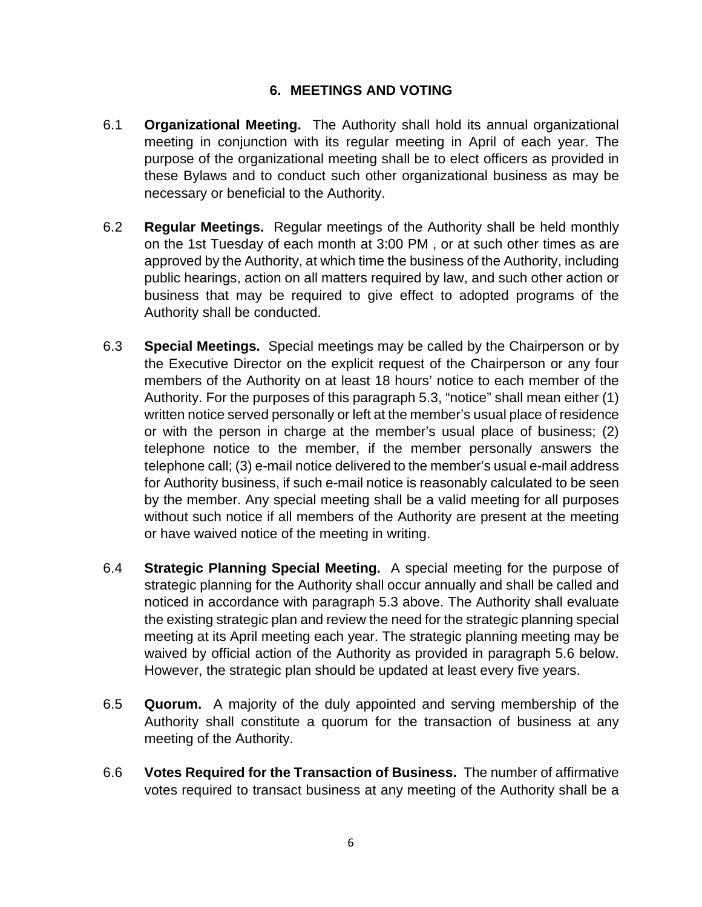## **6. MEETINGS AND VOTING**

- 6.1 **Organizational Meeting.** The Authority shall hold its annual organizational meeting in conjunction with its regular meeting in April of each year. The purpose of the organizational meeting shall be to elect officers as provided in these Bylaws and to conduct such other organizational business as may be necessary or beneficial to the Authority.
- 6.2 **Regular Meetings.** Regular meetings of the Authority shall be held monthly on the 1st Tuesday of each month at 3:00 PM , or at such other times as are approved by the Authority, at which time the business of the Authority, including public hearings, action on all matters required by law, and such other action or business that may be required to give effect to adopted programs of the Authority shall be conducted.
- 6.3 **Special Meetings.** Special meetings may be called by the Chairperson or by the Executive Director on the explicit request of the Chairperson or any four members of the Authority on at least 18 hours' notice to each member of the Authority. For the purposes of this paragraph 5.3, "notice" shall mean either (1) written notice served personally or left at the member's usual place of residence or with the person in charge at the member's usual place of business; (2) telephone notice to the member, if the member personally answers the telephone call; (3) e-mail notice delivered to the member's usual e-mail address for Authority business, if such e-mail notice is reasonably calculated to be seen by the member. Any special meeting shall be a valid meeting for all purposes without such notice if all members of the Authority are present at the meeting or have waived notice of the meeting in writing.
- 6.4 **Strategic Planning Special Meeting.** A special meeting for the purpose of strategic planning for the Authority shall occur annually and shall be called and noticed in accordance with paragraph 5.3 above. The Authority shall evaluate the existing strategic plan and review the need for the strategic planning special meeting at its April meeting each year. The strategic planning meeting may be waived by official action of the Authority as provided in paragraph 5.6 below. However, the strategic plan should be updated at least every five years.
- 6.5 **Quorum.** A majority of the duly appointed and serving membership of the Authority shall constitute a quorum for the transaction of business at any meeting of the Authority.
- 6.6 **Votes Required for the Transaction of Business.** The number of affirmative votes required to transact business at any meeting of the Authority shall be a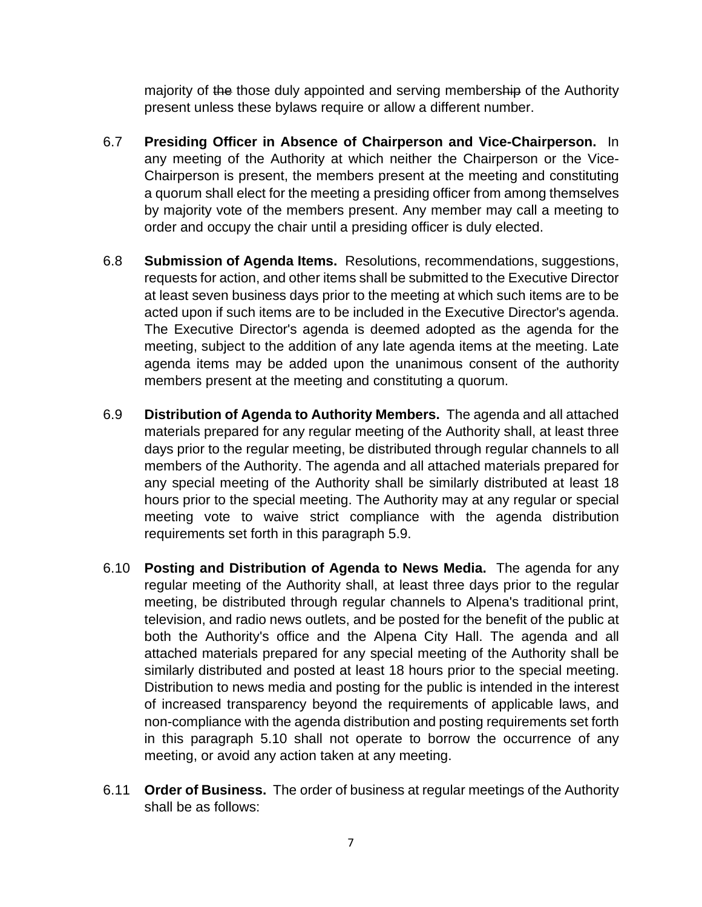majority of the those duly appointed and serving membership of the Authority present unless these bylaws require or allow a different number.

- 6.7 **Presiding Officer in Absence of Chairperson and Vice-Chairperson.** In any meeting of the Authority at which neither the Chairperson or the Vice-Chairperson is present, the members present at the meeting and constituting a quorum shall elect for the meeting a presiding officer from among themselves by majority vote of the members present. Any member may call a meeting to order and occupy the chair until a presiding officer is duly elected.
- 6.8 **Submission of Agenda Items.** Resolutions, recommendations, suggestions, requests for action, and other items shall be submitted to the Executive Director at least seven business days prior to the meeting at which such items are to be acted upon if such items are to be included in the Executive Director's agenda. The Executive Director's agenda is deemed adopted as the agenda for the meeting, subject to the addition of any late agenda items at the meeting. Late agenda items may be added upon the unanimous consent of the authority members present at the meeting and constituting a quorum.
- 6.9 **Distribution of Agenda to Authority Members.** The agenda and all attached materials prepared for any regular meeting of the Authority shall, at least three days prior to the regular meeting, be distributed through regular channels to all members of the Authority. The agenda and all attached materials prepared for any special meeting of the Authority shall be similarly distributed at least 18 hours prior to the special meeting. The Authority may at any regular or special meeting vote to waive strict compliance with the agenda distribution requirements set forth in this paragraph 5.9.
- 6.10 **Posting and Distribution of Agenda to News Media.** The agenda for any regular meeting of the Authority shall, at least three days prior to the regular meeting, be distributed through regular channels to Alpena's traditional print, television, and radio news outlets, and be posted for the benefit of the public at both the Authority's office and the Alpena City Hall. The agenda and all attached materials prepared for any special meeting of the Authority shall be similarly distributed and posted at least 18 hours prior to the special meeting. Distribution to news media and posting for the public is intended in the interest of increased transparency beyond the requirements of applicable laws, and non-compliance with the agenda distribution and posting requirements set forth in this paragraph 5.10 shall not operate to borrow the occurrence of any meeting, or avoid any action taken at any meeting.
- 6.11 **Order of Business.** The order of business at regular meetings of the Authority shall be as follows: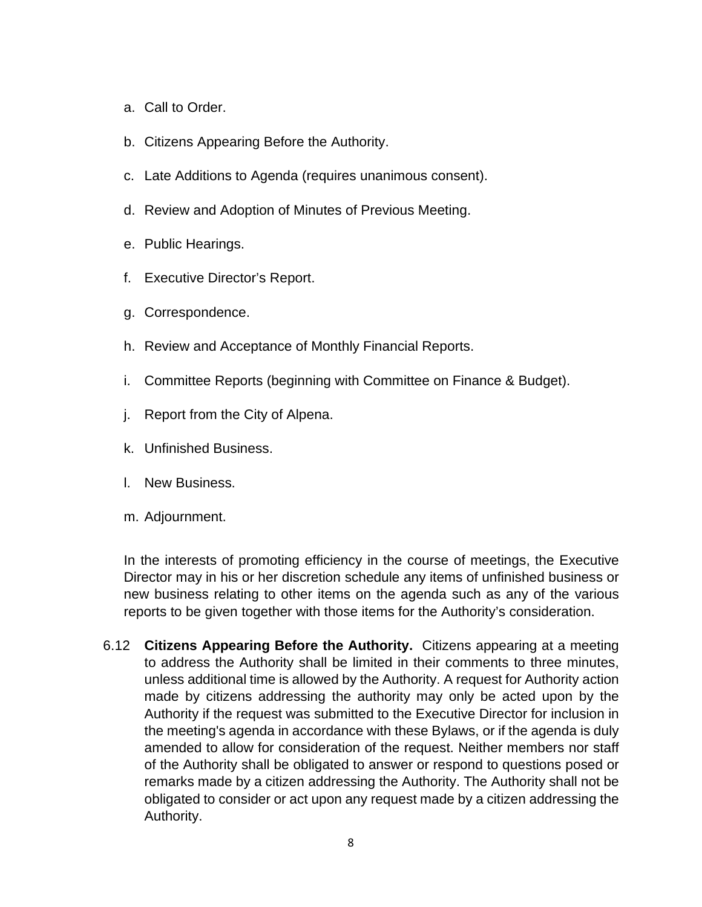- a. Call to Order.
- b. Citizens Appearing Before the Authority.
- c. Late Additions to Agenda (requires unanimous consent).
- d. Review and Adoption of Minutes of Previous Meeting.
- e. Public Hearings.
- f. Executive Director's Report.
- g. Correspondence.
- h. Review and Acceptance of Monthly Financial Reports.
- i. Committee Reports (beginning with Committee on Finance & Budget).
- j. Report from the City of Alpena.
- k. Unfinished Business.
- l. New Business.
- m. Adjournment.

In the interests of promoting efficiency in the course of meetings, the Executive Director may in his or her discretion schedule any items of unfinished business or new business relating to other items on the agenda such as any of the various reports to be given together with those items for the Authority's consideration.

6.12 **Citizens Appearing Before the Authority.** Citizens appearing at a meeting to address the Authority shall be limited in their comments to three minutes, unless additional time is allowed by the Authority. A request for Authority action made by citizens addressing the authority may only be acted upon by the Authority if the request was submitted to the Executive Director for inclusion in the meeting's agenda in accordance with these Bylaws, or if the agenda is duly amended to allow for consideration of the request. Neither members nor staff of the Authority shall be obligated to answer or respond to questions posed or remarks made by a citizen addressing the Authority. The Authority shall not be obligated to consider or act upon any request made by a citizen addressing the Authority.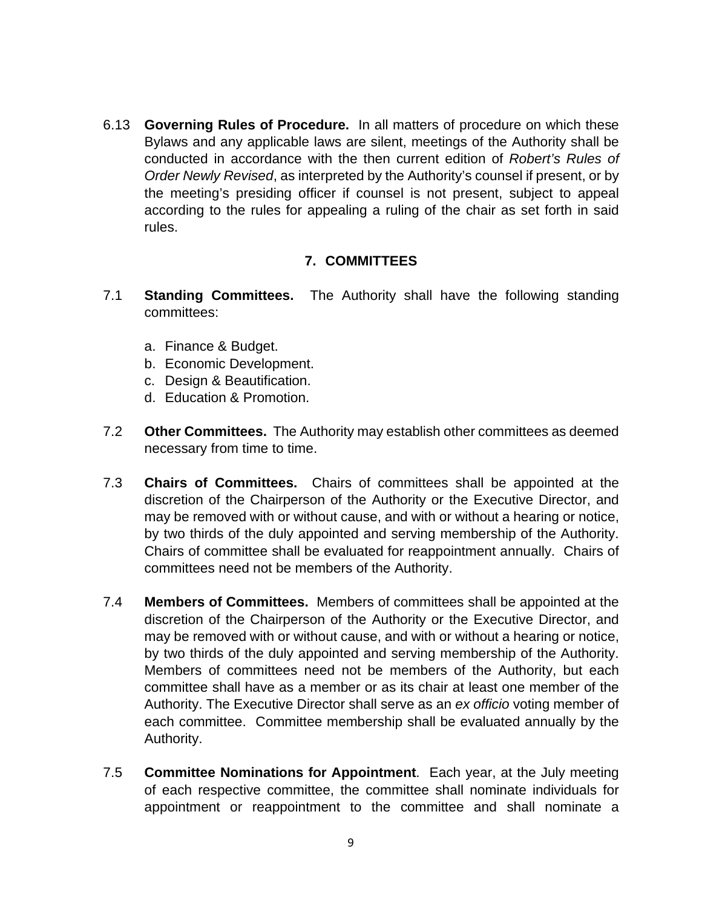6.13 **Governing Rules of Procedure.** In all matters of procedure on which these Bylaws and any applicable laws are silent, meetings of the Authority shall be conducted in accordance with the then current edition of *Robert's Rules of Order Newly Revised*, as interpreted by the Authority's counsel if present, or by the meeting's presiding officer if counsel is not present, subject to appeal according to the rules for appealing a ruling of the chair as set forth in said rules.

### **7. COMMITTEES**

- 7.1 **Standing Committees.** The Authority shall have the following standing committees:
	- a. Finance & Budget.
	- b. Economic Development.
	- c. Design & Beautification.
	- d. Education & Promotion.
- 7.2 **Other Committees.** The Authority may establish other committees as deemed necessary from time to time.
- 7.3 **Chairs of Committees.** Chairs of committees shall be appointed at the discretion of the Chairperson of the Authority or the Executive Director, and may be removed with or without cause, and with or without a hearing or notice, by two thirds of the duly appointed and serving membership of the Authority. Chairs of committee shall be evaluated for reappointment annually. Chairs of committees need not be members of the Authority.
- 7.4 **Members of Committees.** Members of committees shall be appointed at the discretion of the Chairperson of the Authority or the Executive Director, and may be removed with or without cause, and with or without a hearing or notice, by two thirds of the duly appointed and serving membership of the Authority. Members of committees need not be members of the Authority, but each committee shall have as a member or as its chair at least one member of the Authority. The Executive Director shall serve as an *ex officio* voting member of each committee. Committee membership shall be evaluated annually by the Authority.
- 7.5 **Committee Nominations for Appointment**. Each year, at the July meeting of each respective committee, the committee shall nominate individuals for appointment or reappointment to the committee and shall nominate a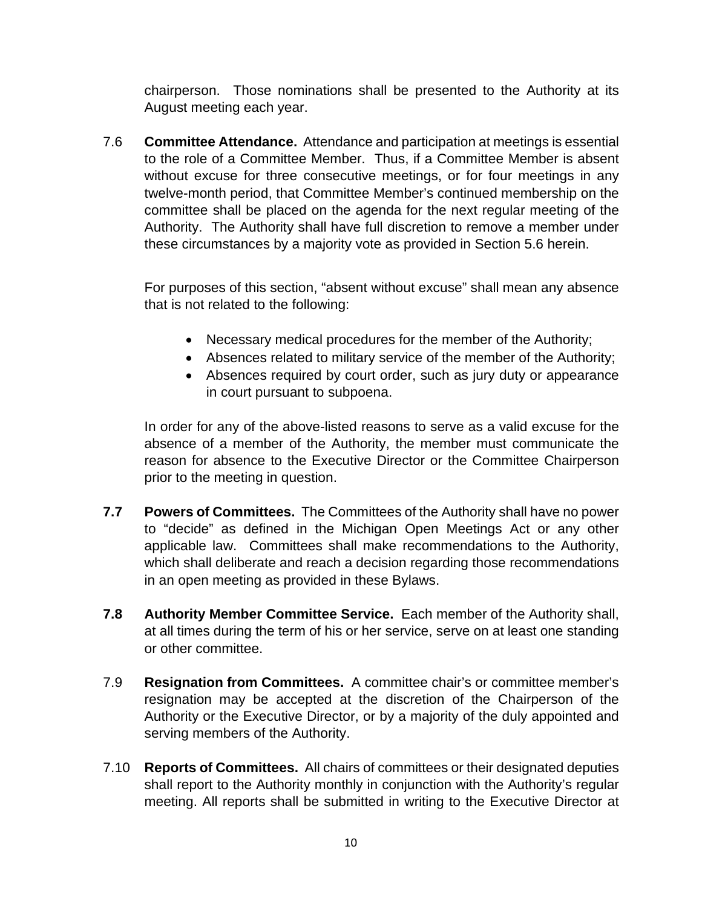chairperson. Those nominations shall be presented to the Authority at its August meeting each year.

7.6 **Committee Attendance.** Attendance and participation at meetings is essential to the role of a Committee Member. Thus, if a Committee Member is absent without excuse for three consecutive meetings, or for four meetings in any twelve-month period, that Committee Member's continued membership on the committee shall be placed on the agenda for the next regular meeting of the Authority. The Authority shall have full discretion to remove a member under these circumstances by a majority vote as provided in Section 5.6 herein.

For purposes of this section, "absent without excuse" shall mean any absence that is not related to the following:

- Necessary medical procedures for the member of the Authority;
- Absences related to military service of the member of the Authority;
- Absences required by court order, such as jury duty or appearance in court pursuant to subpoena.

In order for any of the above-listed reasons to serve as a valid excuse for the absence of a member of the Authority, the member must communicate the reason for absence to the Executive Director or the Committee Chairperson prior to the meeting in question.

- **7.7 Powers of Committees.** The Committees of the Authority shall have no power to "decide" as defined in the Michigan Open Meetings Act or any other applicable law. Committees shall make recommendations to the Authority, which shall deliberate and reach a decision regarding those recommendations in an open meeting as provided in these Bylaws.
- **7.8 Authority Member Committee Service.** Each member of the Authority shall, at all times during the term of his or her service, serve on at least one standing or other committee.
- 7.9 **Resignation from Committees.** A committee chair's or committee member's resignation may be accepted at the discretion of the Chairperson of the Authority or the Executive Director, or by a majority of the duly appointed and serving members of the Authority.
- 7.10 **Reports of Committees.** All chairs of committees or their designated deputies shall report to the Authority monthly in conjunction with the Authority's regular meeting. All reports shall be submitted in writing to the Executive Director at